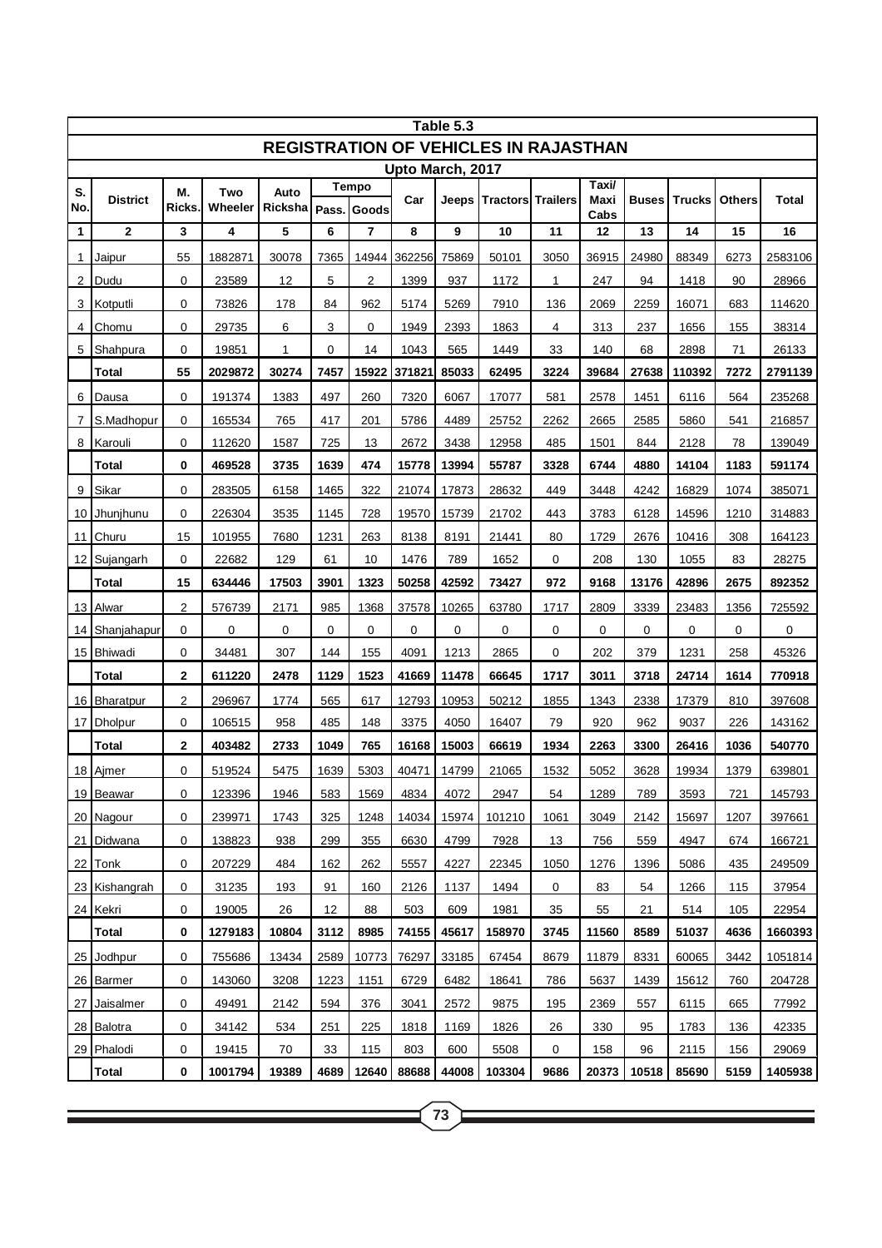| Table 5.3                                    |                 |                    |                |                       |      |                |        |       |                             |             |                       |              |               |               |              |
|----------------------------------------------|-----------------|--------------------|----------------|-----------------------|------|----------------|--------|-------|-----------------------------|-------------|-----------------------|--------------|---------------|---------------|--------------|
| <b>REGISTRATION OF VEHICLES IN RAJASTHAN</b> |                 |                    |                |                       |      |                |        |       |                             |             |                       |              |               |               |              |
| Upto March, 2017<br>Tempo                    |                 |                    |                |                       |      |                |        |       |                             |             |                       |              |               |               |              |
| S.<br>No.                                    | <b>District</b> | М.<br><b>Ricks</b> | Two<br>Wheeler | Auto<br>Ricksha Pass. |      | Goods          | Car    |       | Jeeps   Tractors   Trailers |             | Taxi/<br>Maxi<br>Cabs | <b>Buses</b> | <b>Trucks</b> | <b>Others</b> | <b>Total</b> |
| $\mathbf 1$                                  | $\mathbf{2}$    | 3                  | 4              | 5                     | 6    | $\overline{7}$ | 8      | 9     | 10                          | 11          | 12                    | 13           | 14            | 15            | 16           |
| 1                                            | Jaipur          | 55                 | 1882871        | 30078                 | 7365 | 14944          | 362256 | 75869 | 50101                       | 3050        | 36915                 | 24980        | 88349         | 6273          | 2583106      |
| 2                                            | Dudu            | 0                  | 23589          | 12                    | 5    | 2              | 1399   | 937   | 1172                        | 1           | 247                   | 94           | 1418          | 90            | 28966        |
| 3                                            | Kotputli        | 0                  | 73826          | 178                   | 84   | 962            | 5174   | 5269  | 7910                        | 136         | 2069                  | 2259         | 16071         | 683           | 114620       |
| 4                                            | Chomu           | 0                  | 29735          | 6                     | 3    | 0              | 1949   | 2393  | 1863                        | 4           | 313                   | 237          | 1656          | 155           | 38314        |
| 5                                            | Shahpura        | 0                  | 19851          | 1                     | 0    | 14             | 1043   | 565   | 1449                        | 33          | 140                   | 68           | 2898          | 71            | 26133        |
|                                              | <b>Total</b>    | 55                 | 2029872        | 30274                 | 7457 | 15922          | 371821 | 85033 | 62495                       | 3224        | 39684                 | 27638        | 110392        | 7272          | 2791139      |
| 6                                            | Dausa           | 0                  | 191374         | 1383                  | 497  | 260            | 7320   | 6067  | 17077                       | 581         | 2578                  | 1451         | 6116          | 564           | 235268       |
| 7                                            | S.Madhopur      | 0                  | 165534         | 765                   | 417  | 201            | 5786   | 4489  | 25752                       | 2262        | 2665                  | 2585         | 5860          | 541           | 216857       |
| 8                                            | Karouli         | 0                  | 112620         | 1587                  | 725  | 13             | 2672   | 3438  | 12958                       | 485         | 1501                  | 844          | 2128          | 78            | 139049       |
|                                              | Total           | 0                  | 469528         | 3735                  | 1639 | 474            | 15778  | 13994 | 55787                       | 3328        | 6744                  | 4880         | 14104         | 1183          | 591174       |
| 9                                            | Sikar           | 0                  | 283505         | 6158                  | 1465 | 322            | 21074  | 17873 | 28632                       | 449         | 3448                  | 4242         | 16829         | 1074          | 385071       |
| 10 <sup>1</sup>                              | Jhunjhunu       | 0                  | 226304         | 3535                  | 1145 | 728            | 19570  | 15739 | 21702                       | 443         | 3783                  | 6128         | 14596         | 1210          | 314883       |
| 11                                           | Churu           | 15                 | 101955         | 7680                  | 1231 | 263            | 8138   | 8191  | 21441                       | 80          | 1729                  | 2676         | 10416         | 308           | 164123       |
|                                              | 12 Sujangarh    | 0                  | 22682          | 129                   | 61   | 10             | 1476   | 789   | 1652                        | $\mathbf 0$ | 208                   | 130          | 1055          | 83            | 28275        |
|                                              | Total           | 15                 | 634446         | 17503                 | 3901 | 1323           | 50258  | 42592 | 73427                       | 972         | 9168                  | 13176        | 42896         | 2675          | 892352       |
|                                              | 13 Alwar        | 2                  | 576739         | 2171                  | 985  | 1368           | 37578  | 10265 | 63780                       | 1717        | 2809                  | 3339         | 23483         | 1356          | 725592       |
| 14                                           | Shanjahapur     | 0                  | 0              | 0                     | 0    | 0              | 0      | 0     | 0                           | $\mathbf 0$ | 0                     | 0            | 0             | 0             | 0            |
|                                              | 15 Bhiwadi      | 0                  | 34481          | 307                   | 144  | 155            | 4091   | 1213  | 2865                        | $\mathbf 0$ | 202                   | 379          | 1231          | 258           | 45326        |
|                                              | Total           | 2                  | 611220         | 2478                  | 1129 | 1523           | 41669  | 11478 | 66645                       | 1717        | 3011                  | 3718         | 24714         | 1614          | 770918       |
|                                              | 16   Bharatpur  | 2                  | 296967         | 1774                  | 565  | 617            | 12793  | 10953 | 50212                       | 1855        | 1343                  | 2338         | 17379         | 810           | 397608       |
|                                              | 17 Dholpur      | 0                  | 106515         | 958                   | 485  | 148            | 3375   | 4050  | 16407                       | 79          | 920                   | 962          | 9037          | 226           | 143162       |
|                                              | Total           | 2                  | 403482         | 2733                  | 1049 | 765            | 16168  | 15003 | 66619                       | 1934        | 2263                  | 3300         | 26416         | 1036          | 540770       |
|                                              | 18 Ajmer        | 0                  | 519524         | 5475                  | 1639 | 5303           | 40471  | 14799 | 21065                       | 1532        | 5052                  | 3628         | 19934         | 1379          | 639801       |
|                                              | 19 Beawar       | 0                  | 123396         | 1946                  | 583  | 1569           | 4834   | 4072  | 2947                        | 54          | 1289                  | 789          | 3593          | 721           | 145793       |
|                                              | 20 Nagour       | 0                  | 239971         | 1743                  | 325  | 1248           | 14034  | 15974 | 101210                      | 1061        | 3049                  | 2142         | 15697         | 1207          | 397661       |
|                                              | 21   Didwana    | 0                  | 138823         | 938                   | 299  | 355            | 6630   | 4799  | 7928                        | 13          | 756                   | 559          | 4947          | 674           | 166721       |
|                                              | 22 Tonk         | 0                  | 207229         | 484                   | 162  | 262            | 5557   | 4227  | 22345                       | 1050        | 1276                  | 1396         | 5086          | 435           | 249509       |
|                                              | 23 Kishangrah   | 0                  | 31235          | 193                   | 91   | 160            | 2126   | 1137  | 1494                        | $\mathbf 0$ | 83                    | 54           | 1266          | 115           | 37954        |
|                                              | 24 Kekri        | 0                  | 19005          | 26                    | 12   | 88             | 503    | 609   | 1981                        | 35          | 55                    | 21           | 514           | 105           | 22954        |
|                                              | Total           | 0                  | 1279183        | 10804                 | 3112 | 8985           | 74155  | 45617 | 158970                      | 3745        | 11560                 | 8589         | 51037         | 4636          | 1660393      |
|                                              | 25 Jodhpur      | 0                  | 755686         | 13434                 | 2589 | 10773          | 76297  | 33185 | 67454                       | 8679        | 11879                 | 8331         | 60065         | 3442          | 1051814      |
|                                              | 26 Barmer       | 0                  | 143060         | 3208                  | 1223 | 1151           | 6729   | 6482  | 18641                       | 786         | 5637                  | 1439         | 15612         | 760           | 204728       |
| 27 I                                         | Jaisalmer       | 0                  | 49491          | 2142                  | 594  | 376            | 3041   | 2572  | 9875                        | 195         | 2369                  | 557          | 6115          | 665           | 77992        |
|                                              | 28 Balotra      | 0                  | 34142          | 534                   | 251  | 225            | 1818   | 1169  | 1826                        | 26          | 330                   | 95           | 1783          | 136           | 42335        |
|                                              | 29 Phalodi      | 0                  | 19415          | 70                    | 33   | 115            | 803    | 600   | 5508                        | 0           | 158                   | 96           | 2115          | 156           | 29069        |
|                                              | Total           | 0                  | 1001794        | 19389                 | 4689 | 12640          | 88688  | 44008 | 103304                      | 9686        | 20373                 | 10518        | 85690         | 5159          | 1405938      |

**73**